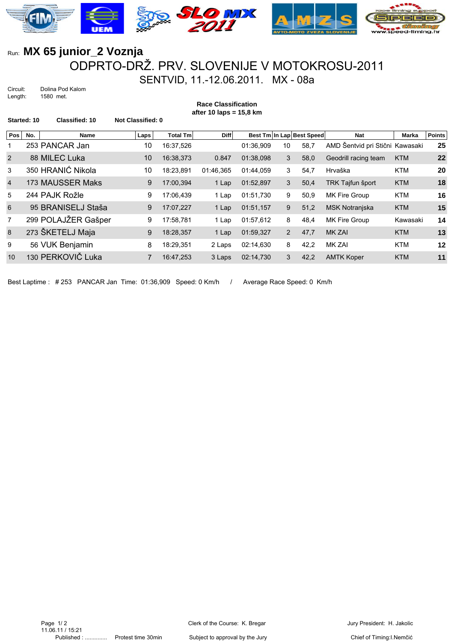

## Run: **MX 65 junior\_2 Voznja** ODPRTO-DRŽ. PRV. SLOVENIJE V MOTOKROSU-2011 SENTVID, 11.-12.06.2011. MX - 08a

Circuit: Dolina Pod Kalom<br>Length: 1580 met. 1580 met.

**Race Classification after 10 laps = 15,8 km**

|                | Started: 10 | Classified: 10      | Not Classified: 0 |                 |             |           |    |                           |                                 |            |               |
|----------------|-------------|---------------------|-------------------|-----------------|-------------|-----------|----|---------------------------|---------------------------------|------------|---------------|
| Pos            | No.         | <b>Name</b>         | Laps              | <b>Total Tm</b> | <b>Diff</b> |           |    | Best Tm In Lap Best Speed | <b>Nat</b>                      | Marka      | <b>Points</b> |
|                |             | 253 PANCAR Jan      | 10                | 16:37,526       |             | 01:36,909 | 10 | 58,7                      | AMD Šentvid pri Stični Kawasaki |            | 25            |
| 2              |             | 88 MILEC Luka       | 10                | 16:38,373       | 0.847       | 01:38,098 | 3  | 58,0                      | Geodrill racing team            | <b>KTM</b> | 22            |
| 3              |             | 350 HRANIĆ Nikola   | 10                | 18:23,891       | 01:46,365   | 01:44,059 | 3  | 54,7                      | Hrvaška                         | <b>KTM</b> | 20            |
| $\overline{4}$ |             | 173 MAUSSER Maks    | 9                 | 17:00,394       | 1 Lap       | 01:52,897 | 3  | 50,4                      | TRK Tajfun šport                | <b>KTM</b> | 18            |
| 5              |             | 244 PAJK Rožle      | 9                 | 17:06.439       | 1 Lap       | 01:51,730 | 9  | 50,9                      | MK Fire Group                   | <b>KTM</b> | 16            |
| 6              |             | 95 BRANISELJ Staša  | 9                 | 17:07.227       | 1 Lap       | 01:51,157 | 9  | 51,2                      | <b>MSK Notranjska</b>           | <b>KTM</b> | 15            |
| $\overline{7}$ |             | 299 POLAJŽER Gašper | 9                 | 17:58,781       | 1 Lap       | 01:57,612 | 8  | 48,4                      | MK Fire Group                   | Kawasaki   | 14            |
| 8              |             | 273 ŠKETELJ Maja    | 9                 | 18:28,357       | 1 Lap       | 01:59,327 | 2  | 47,7                      | <b>MK ZAI</b>                   | <b>KTM</b> | 13            |
| 9              |             | 56 VUK Benjamin     | 8                 | 18:29,351       | 2 Laps      | 02:14,630 | 8  | 42,2                      | MK ZAI                          | <b>KTM</b> | 12            |
| 10             |             | 130 PERKOVIČ Luka   | $\overline{7}$    | 16:47.253       | 3 Laps      | 02:14,730 | 3  | 42,2                      | <b>AMTK Koper</b>               | <b>KTM</b> | 11            |

Best Laptime : # 253 PANCAR Jan Time: 01:36,909 Speed: 0 Km/h / Average Race Speed: 0 Km/h